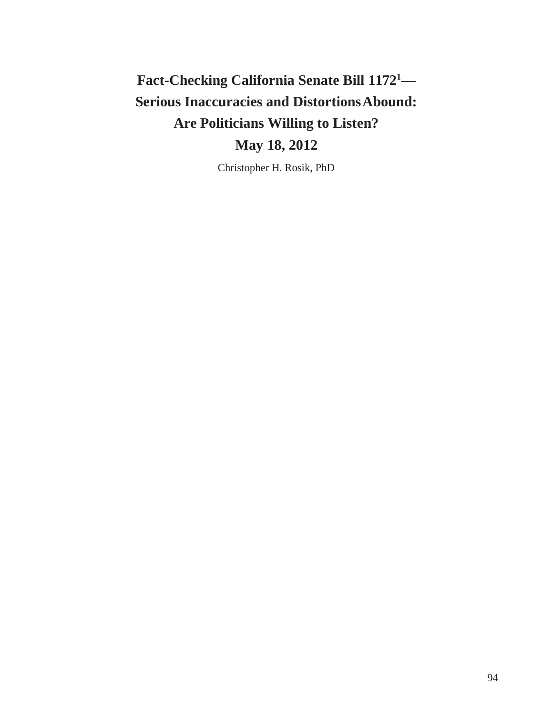# **Fact-Checking California Senate Bill 1172<sup>1</sup>— Serious Inaccuracies and DistortionsAbound: Are Politicians Willing to Listen? May 18, 2012**

Christopher H. Rosik, PhD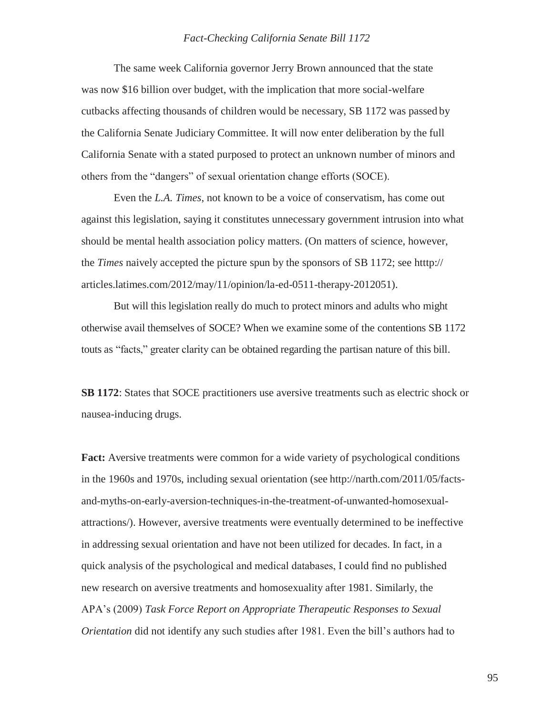The same week California governor Jerry Brown announced that the state was now \$16 billion over budget, with the implication that more social-welfare cutbacks affecting thousands of children would be necessary, SB 1172 was passed by the California Senate Judiciary Committee. It will now enter deliberation by the full California Senate with a stated purposed to protect an unknown number of minors and others from the "dangers" of sexual orientation change efforts (SOCE).

Even the *L.A. Times*, not known to be a voice of conservatism, has come out against this legislation, saying it constitutes unnecessary government intrusion into what should be mental health association policy matters. (On matters of science, however, the *Times* naively accepted the picture spun by the sponsors of SB 1172; see htttp:// articles.latimes.com/2012/may/11/opinion/la-ed-0511-therapy-2012051).

But will this legislation really do much to protect minors and adults who might otherwise avail themselves of SOCE? When we examine some of the contentions SB 1172 touts as "facts," greater clarity can be obtained regarding the partisan nature of this bill.

**SB 1172**: States that SOCE practitioners use aversive treatments such as electric shock or nausea-inducing drugs.

**Fact:** Aversive treatments were common for a wide variety of psychological conditions in the 1960s and 1970s, including sexual orientation (see [http://narth.com/2011/05/facts](http://narth.com/2011/05/facts-)and-myths-on-early-aversion-techniques-in-the-treatment-of-unwanted-homosexualattractions/). However, aversive treatments were eventually determined to be ineffective in addressing sexual orientation and have not been utilized for decades. In fact, in a quick analysis of the psychological and medical databases, I could find no published new research on aversive treatments and homosexuality after 1981. Similarly, the APA's (2009) *Task Force Report on Appropriate Therapeutic Responses to Sexual Orientation* did not identify any such studies after 1981. Even the bill's authors had to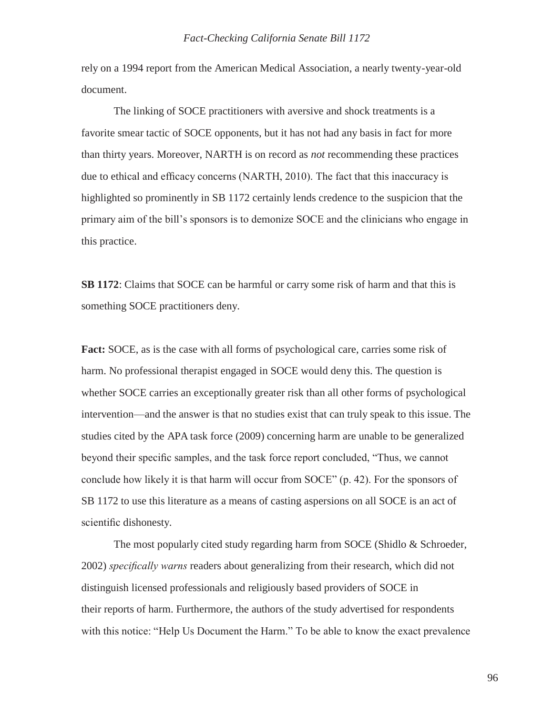rely on a 1994 report from the American Medical Association, a nearly twenty-year-old document.

The linking of SOCE practitioners with aversive and shock treatments is a favorite smear tactic of SOCE opponents, but it has not had any basis in fact for more than thirty years. Moreover, NARTH is on record as *not* recommending these practices due to ethical and efficacy concerns (NARTH, 2010). The fact that this inaccuracy is highlighted so prominently in SB 1172 certainly lends credence to the suspicion that the primary aim of the bill's sponsors is to demonize SOCE and the clinicians who engage in this practice.

**SB 1172**: Claims that SOCE can be harmful or carry some risk of harm and that this is something SOCE practitioners deny.

Fact: SOCE, as is the case with all forms of psychological care, carries some risk of harm. No professional therapist engaged in SOCE would deny this. The question is whether SOCE carries an exceptionally greater risk than all other forms of psychological intervention—and the answer is that no studies exist that can truly speak to this issue. The studies cited by the APA task force (2009) concerning harm are unable to be generalized beyond their specific samples, and the task force report concluded, "Thus, we cannot conclude how likely it is that harm will occur from SOCE" (p. 42). For the sponsors of SB 1172 to use this literature as a means of casting aspersions on all SOCE is an act of scientific dishonesty.

The most popularly cited study regarding harm from SOCE (Shidlo & Schroeder, 2002) *specifically warns* readers about generalizing from their research, which did not distinguish licensed professionals and religiously based providers of SOCE in their reports of harm. Furthermore, the authors of the study advertised for respondents with this notice: "Help Us Document the Harm." To be able to know the exact prevalence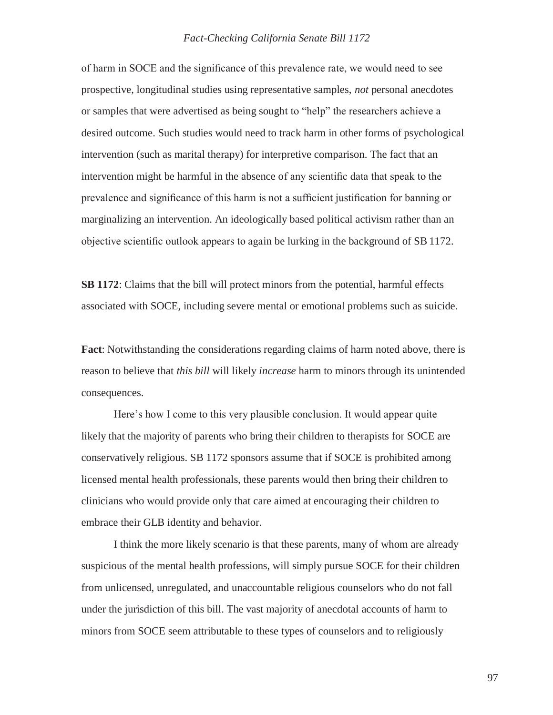of harm in SOCE and the significance of this prevalence rate, we would need to see prospective, longitudinal studies using representative samples, *not* personal anecdotes or samples that were advertised as being sought to "help" the researchers achieve a desired outcome. Such studies would need to track harm in other forms of psychological intervention (such as marital therapy) for interpretive comparison. The fact that an intervention might be harmful in the absence of any scientific data that speak to the prevalence and significance of this harm is not a sufficient justification for banning or marginalizing an intervention. An ideologically based political activism rather than an objective scientific outlook appears to again be lurking in the background of SB 1172.

**SB 1172**: Claims that the bill will protect minors from the potential, harmful effects associated with SOCE, including severe mental or emotional problems such as suicide.

**Fact**: Notwithstanding the considerations regarding claims of harm noted above, there is reason to believe that *this bill* will likely *increase* harm to minors through its unintended consequences.

Here's how I come to this very plausible conclusion. It would appear quite likely that the majority of parents who bring their children to therapists for SOCE are conservatively religious. SB 1172 sponsors assume that if SOCE is prohibited among licensed mental health professionals, these parents would then bring their children to clinicians who would provide only that care aimed at encouraging their children to embrace their GLB identity and behavior.

I think the more likely scenario is that these parents, many of whom are already suspicious of the mental health professions, will simply pursue SOCE for their children from unlicensed, unregulated, and unaccountable religious counselors who do not fall under the jurisdiction of this bill. The vast majority of anecdotal accounts of harm to minors from SOCE seem attributable to these types of counselors and to religiously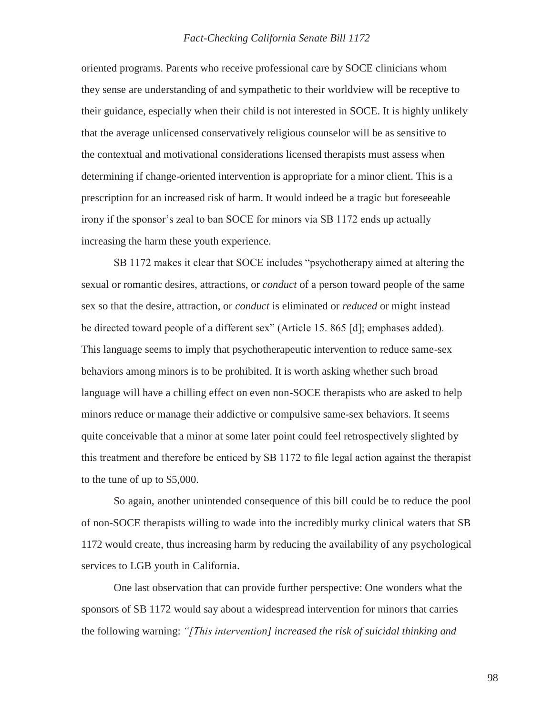oriented programs. Parents who receive professional care by SOCE clinicians whom they sense are understanding of and sympathetic to their worldview will be receptive to their guidance, especially when their child is not interested in SOCE. It is highly unlikely that the average unlicensed conservatively religious counselor will be as sensitive to the contextual and motivational considerations licensed therapists must assess when determining if change-oriented intervention is appropriate for a minor client. This is a prescription for an increased risk of harm. It would indeed be a tragic but foreseeable irony if the sponsor's zeal to ban SOCE for minors via SB 1172 ends up actually increasing the harm these youth experience.

SB 1172 makes it clear that SOCE includes "psychotherapy aimed at altering the sexual or romantic desires, attractions, or *conduct* of a person toward people of the same sex so that the desire, attraction, or *conduct* is eliminated or *reduced* or might instead be directed toward people of a different sex" (Article 15. 865 [d]; emphases added). This language seems to imply that psychotherapeutic intervention to reduce same-sex behaviors among minors is to be prohibited. It is worth asking whether such broad language will have a chilling effect on even non-SOCE therapists who are asked to help minors reduce or manage their addictive or compulsive same-sex behaviors. It seems quite conceivable that a minor at some later point could feel retrospectively slighted by this treatment and therefore be enticed by SB 1172 to file legal action against the therapist to the tune of up to \$5,000.

So again, another unintended consequence of this bill could be to reduce the pool of non-SOCE therapists willing to wade into the incredibly murky clinical waters that SB 1172 would create, thus increasing harm by reducing the availability of any psychological services to LGB youth in California.

One last observation that can provide further perspective: One wonders what the sponsors of SB 1172 would say about a widespread intervention for minors that carries the following warning: *"[This intervention] increased the risk of suicidal thinking and*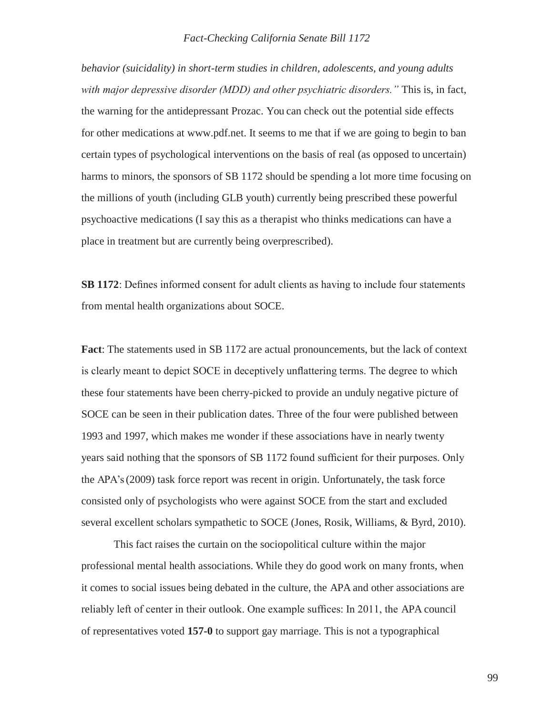*behavior (suicidality) in short-term studies in children, adolescents, and young adults with major depressive disorder (MDD) and other psychiatric disorders."* This is, in fact, the warning for the antidepressant Prozac. You can check out the potential side effects for other medications at [www.pdf.net.](http://www.pdf.net/) It seems to me that if we are going to begin to ban certain types of psychological interventions on the basis of real (as opposed to uncertain) harms to minors, the sponsors of SB 1172 should be spending a lot more time focusing on the millions of youth (including GLB youth) currently being prescribed these powerful psychoactive medications (I say this as a therapist who thinks medications can have a place in treatment but are currently being overprescribed).

**SB 1172**: Defines informed consent for adult clients as having to include four statements from mental health organizations about SOCE.

**Fact**: The statements used in SB 1172 are actual pronouncements, but the lack of context is clearly meant to depict SOCE in deceptively unflattering terms. The degree to which these four statements have been cherry-picked to provide an unduly negative picture of SOCE can be seen in their publication dates. Three of the four were published between 1993 and 1997, which makes me wonder if these associations have in nearly twenty years said nothing that the sponsors of SB 1172 found sufficient for their purposes. Only the APA's (2009) task force report was recent in origin. Unfortunately, the task force consisted only of psychologists who were against SOCE from the start and excluded several excellent scholars sympathetic to SOCE (Jones, Rosik, Williams, & Byrd, 2010).

This fact raises the curtain on the sociopolitical culture within the major professional mental health associations. While they do good work on many fronts, when it comes to social issues being debated in the culture, the APA and other associations are reliably left of center in their outlook. One example suffices: In 2011, the APA council of representatives voted **157-0** to support gay marriage. This is not a typographical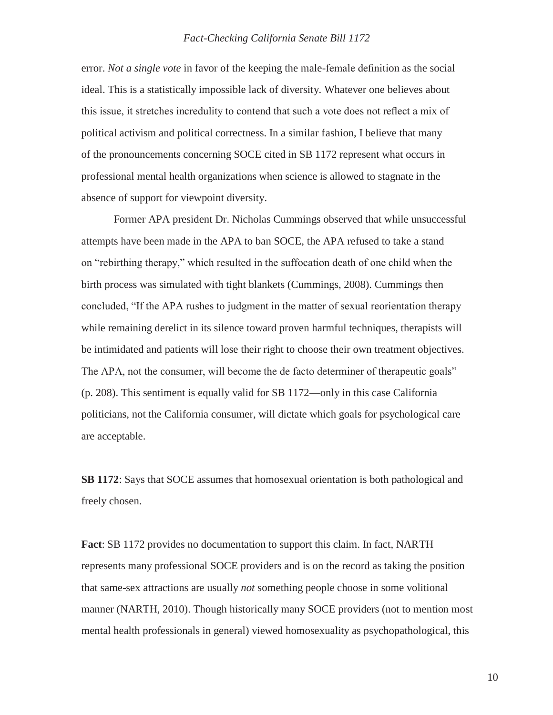error. *Not a single vote* in favor of the keeping the male-female definition as the social ideal. This is a statistically impossible lack of diversity. Whatever one believes about this issue, it stretches incredulity to contend that such a vote does not reflect a mix of political activism and political correctness. In a similar fashion, I believe that many of the pronouncements concerning SOCE cited in SB 1172 represent what occurs in professional mental health organizations when science is allowed to stagnate in the absence of support for viewpoint diversity.

Former APA president Dr. Nicholas Cummings observed that while unsuccessful attempts have been made in the APA to ban SOCE, the APA refused to take a stand on "rebirthing therapy," which resulted in the suffocation death of one child when the birth process was simulated with tight blankets (Cummings, 2008). Cummings then concluded, "If the APA rushes to judgment in the matter of sexual reorientation therapy while remaining derelict in its silence toward proven harmful techniques, therapists will be intimidated and patients will lose their right to choose their own treatment objectives. The APA, not the consumer, will become the de facto determiner of therapeutic goals" (p. 208). This sentiment is equally valid for SB 1172—only in this case California politicians, not the California consumer, will dictate which goals for psychological care are acceptable.

**SB 1172**: Says that SOCE assumes that homosexual orientation is both pathological and freely chosen.

**Fact**: SB 1172 provides no documentation to support this claim. In fact, NARTH represents many professional SOCE providers and is on the record as taking the position that same-sex attractions are usually *not* something people choose in some volitional manner (NARTH, 2010). Though historically many SOCE providers (not to mention most mental health professionals in general) viewed homosexuality as psychopathological, this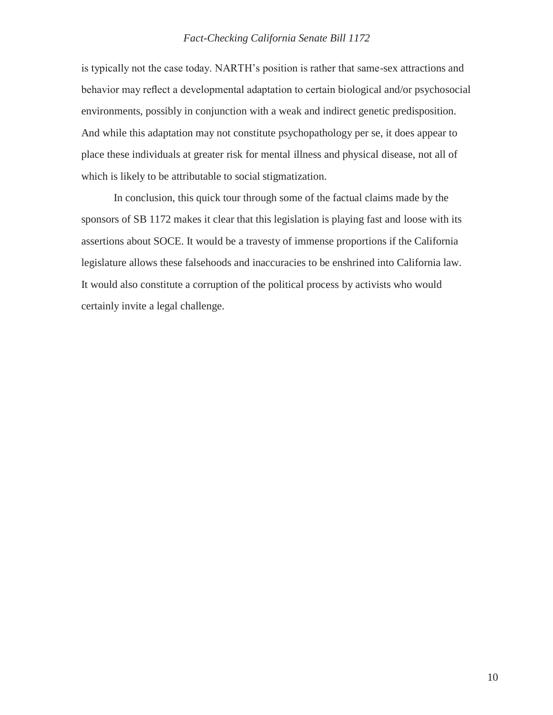is typically not the case today. NARTH's position is rather that same-sex attractions and behavior may reflect a developmental adaptation to certain biological and/or psychosocial environments, possibly in conjunction with a weak and indirect genetic predisposition. And while this adaptation may not constitute psychopathology per se, it does appear to place these individuals at greater risk for mental illness and physical disease, not all of which is likely to be attributable to social stigmatization.

In conclusion, this quick tour through some of the factual claims made by the sponsors of SB 1172 makes it clear that this legislation is playing fast and loose with its assertions about SOCE. It would be a travesty of immense proportions if the California legislature allows these falsehoods and inaccuracies to be enshrined into California law. It would also constitute a corruption of the political process by activists who would certainly invite a legal challenge.